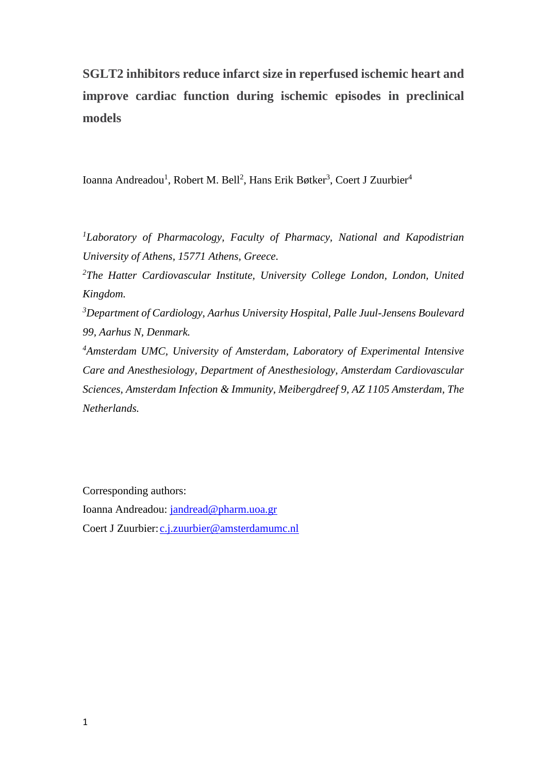# **SGLT2 inhibitors reduce infarct size in reperfused ischemic heart and improve cardiac function during ischemic episodes in preclinical models**

Ioanna Andreadou<sup>1</sup>, Robert M. Bell<sup>2</sup>, Hans Erik Bøtker<sup>3</sup>, Coert J Zuurbier<sup>4</sup>

*<sup>1</sup>Laboratory of Pharmacology, Faculty of Pharmacy, National and Kapodistrian University of Athens, 15771 Athens, Greece.*

*<sup>2</sup>The Hatter Cardiovascular Institute, University College London, London, United Kingdom.*

*<sup>3</sup>Department of Cardiology, Aarhus University Hospital, Palle Juul-Jensens Boulevard 99, Aarhus N, Denmark.*

*<sup>4</sup>Amsterdam UMC, University of Amsterdam, Laboratory of Experimental Intensive Care and Anesthesiology, Department of Anesthesiology, Amsterdam Cardiovascular Sciences, Amsterdam Infection & Immunity, Meibergdreef 9, AZ 1105 Amsterdam, The Netherlands.*

Corresponding authors: Ioanna Andreadou: [jandread@pharm.uoa.gr](mailto:jandread@pharm.uoa.gr) Coert J Zuurbier: [c.j.zuurbier@amsterdamumc.nl](mailto:c.j.zuurbier@amsterdamumc.nl)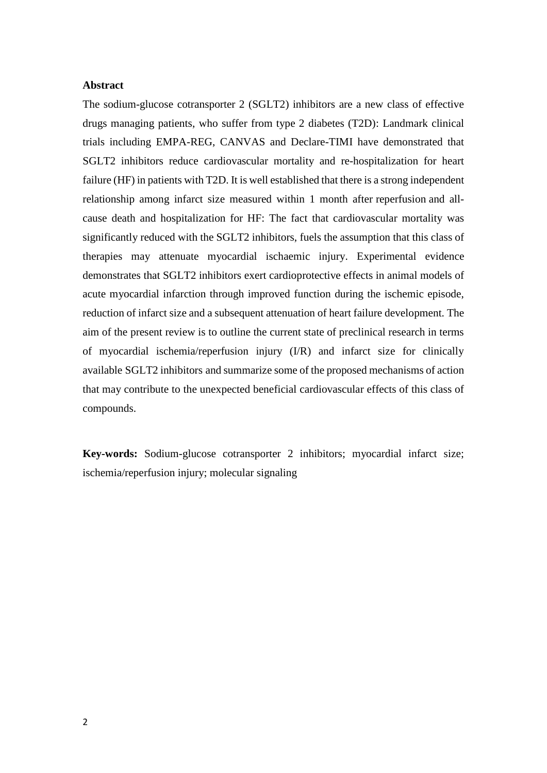#### **Abstract**

The sodium-glucose cotransporter 2 (SGLT2) inhibitors are a new class of effective drugs managing patients, who suffer from type 2 diabetes (T2D): Landmark clinical trials including EMPA-REG, CANVAS and Declare-TIMI have demonstrated that SGLT2 inhibitors reduce cardiovascular mortality and re-hospitalization for heart failure (HF) in patients with T2D. It is well established that there is a strong independent relationship among infarct size measured within 1 month after reperfusion and allcause death and hospitalization for HF: The fact that cardiovascular mortality was significantly reduced with the SGLT2 inhibitors, fuels the assumption that this class of therapies may attenuate myocardial ischaemic injury. Experimental evidence demonstrates that SGLT2 inhibitors exert cardioprotective effects in animal models of acute myocardial infarction through improved function during the ischemic episode, reduction of infarct size and a subsequent attenuation of heart failure development. The aim of the present review is to outline the current state of preclinical research in terms of myocardial ischemia/reperfusion injury (I/R) and infarct size for clinically available SGLT2 inhibitors and summarize some of the proposed mechanisms of action that may contribute to the unexpected beneficial cardiovascular effects of this class of compounds.

**Key-words:** Sodium-glucose cotransporter 2 inhibitors; myocardial infarct size; ischemia/reperfusion injury; molecular signaling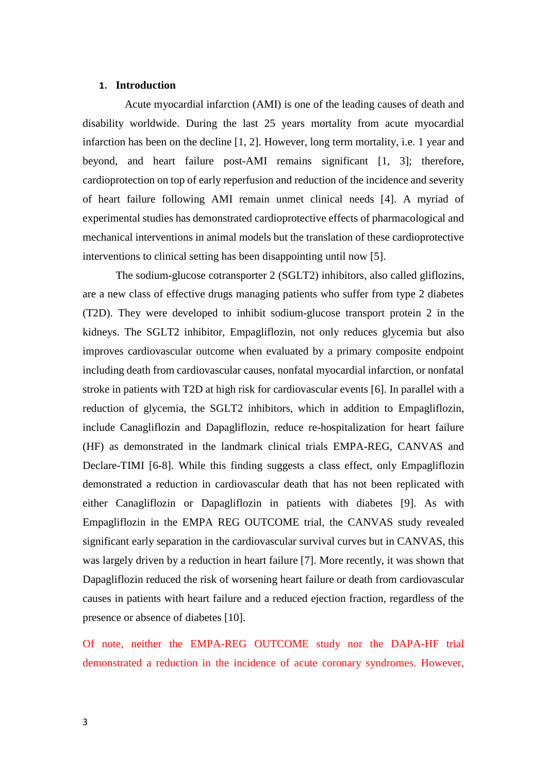#### **1. Introduction**

Acute myocardial infarction (AMI) is one of the leading causes of death and disability worldwide. During the last 25 years mortality from acute myocardial infarction has been on the decline [1, 2]. However, long term mortality, i.e. 1 year and beyond, and heart failure post-AMI remains significant [1, 3]; therefore, cardioprotection on top of early reperfusion and reduction of the incidence and severity of heart failure following AMI remain unmet clinical needs [4]. A myriad of experimental studies has demonstrated cardioprotective effects of pharmacological and mechanical interventions in animal models but the translation of these cardioprotective interventions to clinical setting has been disappointing until now [5].

The sodium-glucose cotransporter 2 (SGLT2) inhibitors, also called gliflozins, are a new class of effective drugs managing patients who suffer from type 2 diabetes (T2D). They were developed to inhibit sodium-glucose transport protein 2 in the kidneys. The SGLT2 inhibitor, Empagliflozin, not only reduces glycemia but also improves cardiovascular outcome when evaluated by a primary composite endpoint including death from cardiovascular causes, nonfatal myocardial infarction, or nonfatal stroke in patients with T2D at high risk for cardiovascular events [6]. In parallel with a reduction of glycemia, the SGLT2 inhibitors, which in addition to Empagliflozin, include Canagliflozin and Dapagliflozin, reduce re-hospitalization for heart failure (HF) as demonstrated in the landmark clinical trials EMPA-REG, CANVAS and Declare-TIMI [6-8]. While this finding suggests a class effect, only Empagliflozin demonstrated a reduction in cardiovascular death that has not been replicated with either Canagliflozin or Dapagliflozin in patients with diabetes [9]. As with Empagliflozin in the EMPA REG OUTCOME trial, the CANVAS study revealed significant early separation in the cardiovascular survival curves but in CANVAS, this was largely driven by a reduction in heart failure [7]. More recently, it was shown that Dapagliflozin reduced the risk of worsening heart failure or death from cardiovascular causes in patients with heart failure and a reduced ejection fraction, regardless of the presence or absence of diabetes [10].

Of note, neither the EMPA-REG OUTCOME study nor the DAPA-HF trial demonstrated a reduction in the incidence of acute coronary syndromes. However,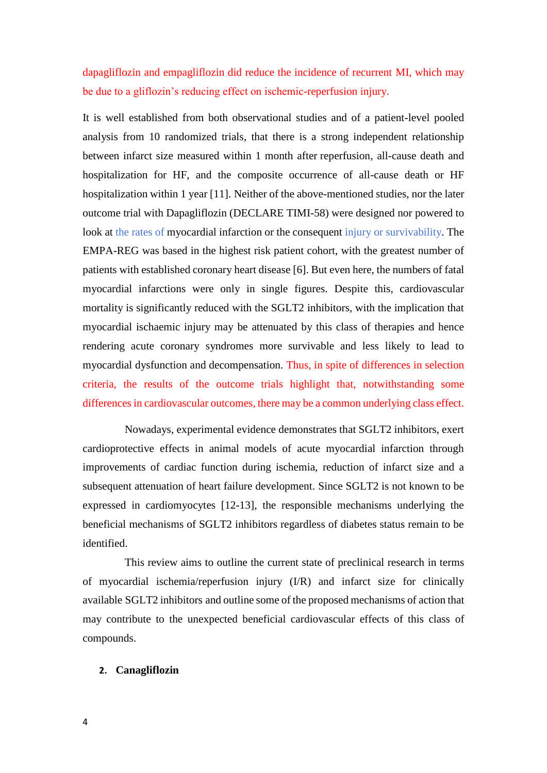dapagliflozin and empagliflozin did reduce the incidence of recurrent MI, which may be due to a gliflozin's reducing effect on ischemic-reperfusion injury.

It is well established from both observational studies and of a patient-level pooled analysis from 10 randomized trials, that there is a strong independent relationship between infarct size measured within 1 month after reperfusion, all-cause death and hospitalization for HF, and the composite occurrence of all-cause death or HF hospitalization within 1 year [11]. Neither of the above-mentioned studies, nor the later outcome trial with Dapagliflozin (DECLARE TIMI-58) were designed nor powered to look at the rates of myocardial infarction or the consequent injury or survivability. The EMPA-REG was based in the highest risk patient cohort, with the greatest number of patients with established coronary heart disease [6]. But even here, the numbers of fatal myocardial infarctions were only in single figures. Despite this, cardiovascular mortality is significantly reduced with the SGLT2 inhibitors, with the implication that myocardial ischaemic injury may be attenuated by this class of therapies and hence rendering acute coronary syndromes more survivable and less likely to lead to myocardial dysfunction and decompensation. Thus, in spite of differences in selection criteria, the results of the outcome trials highlight that, notwithstanding some differences in cardiovascular outcomes, there may be a common underlying class effect.

Nowadays, experimental evidence demonstrates that SGLT2 inhibitors, exert cardioprotective effects in animal models of acute myocardial infarction through improvements of cardiac function during ischemia, reduction of infarct size and a subsequent attenuation of heart failure development. Since SGLT2 is not known to be expressed in cardiomyocytes [12-13], the responsible mechanisms underlying the beneficial mechanisms of SGLT2 inhibitors regardless of diabetes status remain to be identified.

This review aims to outline the current state of preclinical research in terms of myocardial ischemia/reperfusion injury (I/R) and infarct size for clinically available SGLT2 inhibitors and outline some of the proposed mechanisms of action that may contribute to the unexpected beneficial cardiovascular effects of this class of compounds.

#### **2. Canagliflozin**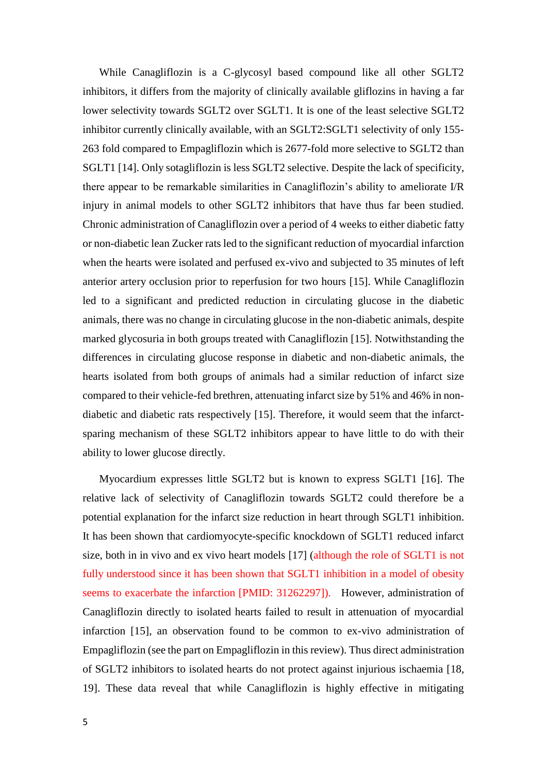While Canagliflozin is a C-glycosyl based compound like all other SGLT2 inhibitors, it differs from the majority of clinically available gliflozins in having a far lower selectivity towards SGLT2 over SGLT1. It is one of the least selective SGLT2 inhibitor currently clinically available, with an SGLT2:SGLT1 selectivity of only 155- 263 fold compared to Empagliflozin which is 2677-fold more selective to SGLT2 than SGLT1 [14]. Only sotagliflozin is less SGLT2 selective. Despite the lack of specificity, there appear to be remarkable similarities in Canagliflozin's ability to ameliorate I/R injury in animal models to other SGLT2 inhibitors that have thus far been studied. Chronic administration of Canagliflozin over a period of 4 weeks to either diabetic fatty or non-diabetic lean Zucker rats led to the significant reduction of myocardial infarction when the hearts were isolated and perfused ex-vivo and subjected to 35 minutes of left anterior artery occlusion prior to reperfusion for two hours [15]. While Canagliflozin led to a significant and predicted reduction in circulating glucose in the diabetic animals, there was no change in circulating glucose in the non-diabetic animals, despite marked glycosuria in both groups treated with Canagliflozin [15]. Notwithstanding the differences in circulating glucose response in diabetic and non-diabetic animals, the hearts isolated from both groups of animals had a similar reduction of infarct size compared to their vehicle-fed brethren, attenuating infarct size by 51% and 46% in nondiabetic and diabetic rats respectively [15]. Therefore, it would seem that the infarctsparing mechanism of these SGLT2 inhibitors appear to have little to do with their ability to lower glucose directly.

Myocardium expresses little SGLT2 but is known to express SGLT1 [16]. The relative lack of selectivity of Canagliflozin towards SGLT2 could therefore be a potential explanation for the infarct size reduction in heart through SGLT1 inhibition. It has been shown that cardiomyocyte-specific knockdown of SGLT1 reduced infarct size, both in in vivo and ex vivo heart models [17] (although the role of SGLT1 is not fully understood since it has been shown that SGLT1 inhibition in a model of obesity seems to exacerbate the infarction [PMID: 31262297]). However, administration of Canagliflozin directly to isolated hearts failed to result in attenuation of myocardial infarction [15], an observation found to be common to ex-vivo administration of Empagliflozin (see the part on Empagliflozin in this review). Thus direct administration of SGLT2 inhibitors to isolated hearts do not protect against injurious ischaemia [18, 19]. These data reveal that while Canagliflozin is highly effective in mitigating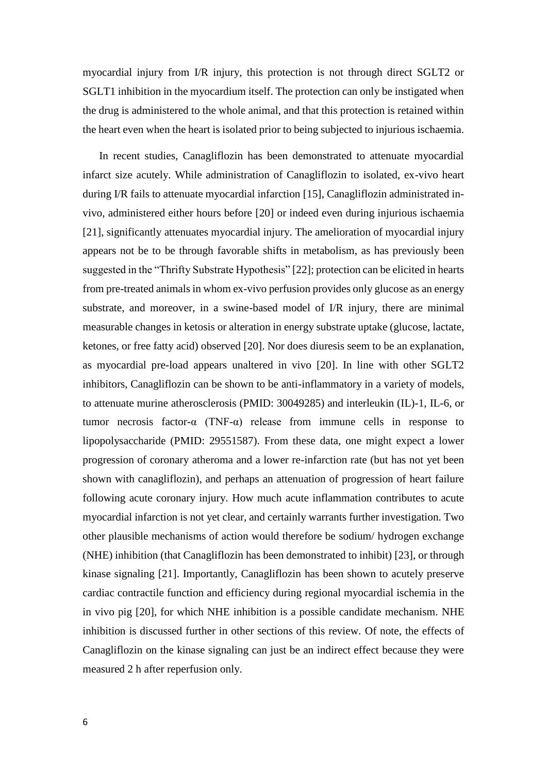myocardial injury from I/R injury, this protection is not through direct SGLT2 or SGLT1 inhibition in the myocardium itself. The protection can only be instigated when the drug is administered to the whole animal, and that this protection is retained within the heart even when the heart is isolated prior to being subjected to injurious ischaemia.

In recent studies, Canagliflozin has been demonstrated to attenuate myocardial infarct size acutely. While administration of Canagliflozin to isolated, ex-vivo heart during I/R fails to attenuate myocardial infarction [15], Canagliflozin administrated invivo, administered either hours before [20] or indeed even during injurious ischaemia [21], significantly attenuates myocardial injury. The amelioration of myocardial injury appears not be to be through favorable shifts in metabolism, as has previously been suggested in the "Thrifty Substrate Hypothesis" [22]; protection can be elicited in hearts from pre-treated animals in whom ex-vivo perfusion provides only glucose as an energy substrate, and moreover, in a swine-based model of I/R injury, there are minimal measurable changes in ketosis or alteration in energy substrate uptake (glucose, lactate, ketones, or free fatty acid) observed [20]. Nor does diuresis seem to be an explanation, as myocardial pre-load appears unaltered in vivo [20]. In line with other SGLT2 inhibitors, Canagliflozin can be shown to be anti-inflammatory in a variety of models, to attenuate murine atherosclerosis (PMID: 30049285) and interleukin (IL)-1, IL-6, or tumor necrosis factor-α (TNF-α) release from immune cells in response to lipopolysaccharide (PMID: 29551587). From these data, one might expect a lower progression of coronary atheroma and a lower re-infarction rate (but has not yet been shown with canagliflozin), and perhaps an attenuation of progression of heart failure following acute coronary injury. How much acute inflammation contributes to acute myocardial infarction is not yet clear, and certainly warrants further investigation. Two other plausible mechanisms of action would therefore be sodium/ hydrogen exchange (NHE) inhibition (that Canagliflozin has been demonstrated to inhibit) [23], or through kinase signaling [21]. Importantly, Canagliflozin has been shown to acutely preserve cardiac contractile function and efficiency during regional myocardial ischemia in the in vivo pig [20], for which NHE inhibition is a possible candidate mechanism. NHE inhibition is discussed further in other sections of this review. Of note, the effects of Canagliflozin on the kinase signaling can just be an indirect effect because they were measured 2 h after reperfusion only.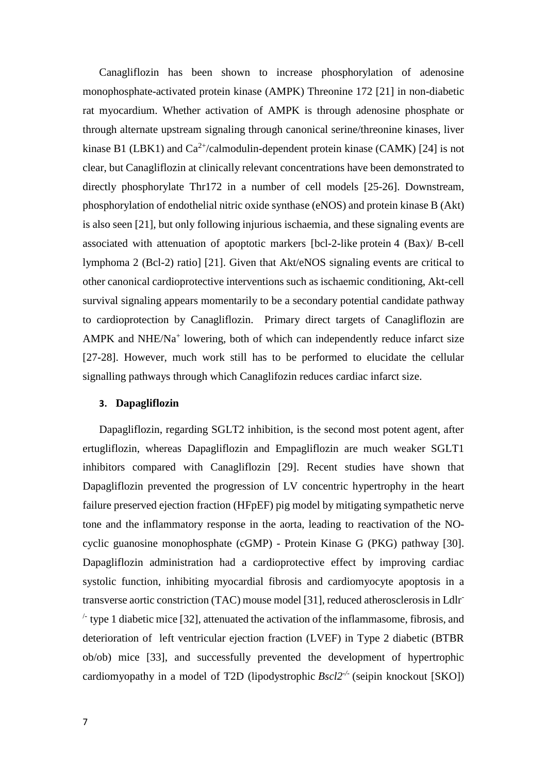Canagliflozin has been shown to increase phosphorylation of adenosine monophosphate-activated protein kinase (AMPK) Threonine 172 [21] in non-diabetic rat myocardium. Whether activation of AMPK is through adenosine phosphate or through alternate upstream signaling through canonical serine/threonine kinases, liver kinase B1 (LBK1) and  $Ca^{2+}/c$ almodulin-dependent protein kinase (CAMK) [24] is not clear, but Canagliflozin at clinically relevant concentrations have been demonstrated to directly phosphorylate Thr172 in a number of cell models [25-26]. Downstream, phosphorylation of endothelial nitric oxide synthase (eNOS) and protein kinase B (Akt) is also seen [21], but only following injurious ischaemia, and these signaling events are associated with attenuation of apoptotic markers [bcl-2-like protein 4 (Bax)/ B-cell lymphoma 2 (Bcl-2) ratio] [21]. Given that Akt/eNOS signaling events are critical to other canonical cardioprotective interventions such as ischaemic conditioning, Akt-cell survival signaling appears momentarily to be a secondary potential candidate pathway to cardioprotection by Canagliflozin. Primary direct targets of Canagliflozin are AMPK and NHE/Na<sup>+</sup> lowering, both of which can independently reduce infarct size [27-28]. However, much work still has to be performed to elucidate the cellular signalling pathways through which Canaglifozin reduces cardiac infarct size.

#### **3. Dapagliflozin**

Dapagliflozin, regarding SGLT2 inhibition, is the second most potent agent, after ertugliflozin, whereas Dapagliflozin and Empagliflozin are much weaker SGLT1 inhibitors compared with Canagliflozin [29]. Recent studies have shown that Dapagliflozin prevented the progression of LV concentric hypertrophy in the heart failure preserved ejection fraction (HFpEF) pig model by mitigating sympathetic nerve tone and the inflammatory response in the aorta, leading to reactivation of the NOcyclic guanosine monophosphate (cGMP) - Protein Kinase G (PKG) pathway [30]. Dapagliflozin administration had a cardioprotective effect by improving cardiac systolic function, inhibiting myocardial fibrosis and cardiomyocyte apoptosis in a transverse aortic constriction (TAC) mouse model [31], reduced atherosclerosis in Ldlr-  $\pm$  type 1 diabetic mice [32], attenuated the activation of the inflammasome, fibrosis, and deterioration of left ventricular ejection fraction (LVEF) in Type 2 diabetic (BTBR ob/ob) mice [33], and successfully prevented the development of hypertrophic cardiomyopathy in a model of T2D (lipodystrophic *Bscl2<sup>-/-</sup>* (seipin knockout [SKO])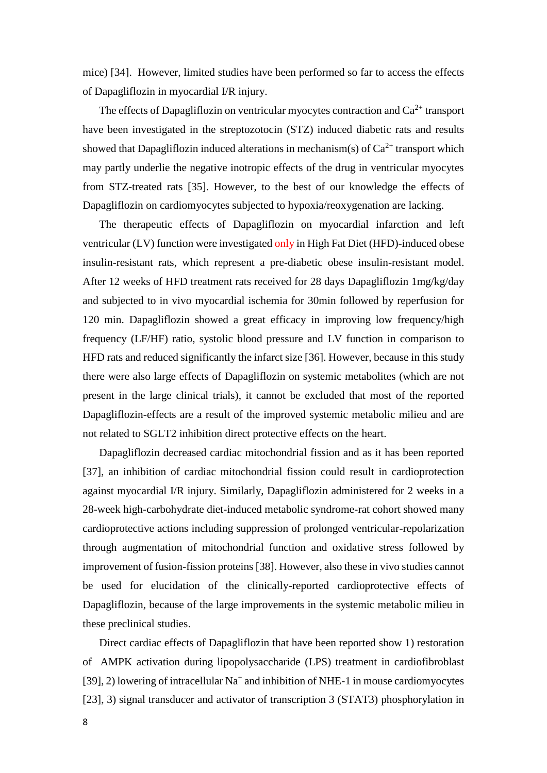mice) [34]. However, limited studies have been performed so far to access the effects of Dapagliflozin in myocardial I/R injury.

The effects of Dapagliflozin on ventricular myocytes contraction and  $Ca^{2+}$  transport have been investigated in the streptozotocin (STZ) induced diabetic rats and results showed that Dapagliflozin induced alterations in mechanism(s) of  $Ca^{2+}$  transport which may partly underlie the negative inotropic effects of the drug in ventricular myocytes from STZ-treated rats [35]. However, to the best of our knowledge the effects of Dapagliflozin on cardiomyocytes subjected to hypoxia/reoxygenation are lacking.

The therapeutic effects of Dapagliflozin on myocardial infarction and left ventricular (LV) function were investigated only in High Fat Diet (HFD)-induced obese insulin-resistant rats, which represent a pre-diabetic obese insulin-resistant model. After 12 weeks of HFD treatment rats received for 28 days Dapagliflozin 1mg/kg/day and subjected to in vivo myocardial ischemia for 30min followed by reperfusion for 120 min. Dapagliflozin showed a great efficacy in improving low frequency/high frequency (LF/HF) ratio, systolic blood pressure and LV function in comparison to HFD rats and reduced significantly the infarct size [36]. However, because in this study there were also large effects of Dapagliflozin on systemic metabolites (which are not present in the large clinical trials), it cannot be excluded that most of the reported Dapagliflozin-effects are a result of the improved systemic metabolic milieu and are not related to SGLT2 inhibition direct protective effects on the heart.

Dapagliflozin decreased cardiac mitochondrial fission and as it has been reported [37], an inhibition of cardiac mitochondrial fission could result in cardioprotection against myocardial I/R injury. Similarly, Dapagliflozin administered for 2 weeks in a 28-week high-carbohydrate diet-induced metabolic syndrome-rat cohort showed many cardioprotective actions including suppression of prolonged ventricular-repolarization through augmentation of mitochondrial function and oxidative stress followed by improvement of fusion-fission proteins [38]. However, also these in vivo studies cannot be used for elucidation of the clinically-reported cardioprotective effects of Dapagliflozin, because of the large improvements in the systemic metabolic milieu in these preclinical studies.

Direct cardiac effects of Dapagliflozin that have been reported show 1) restoration of AMPK activation during lipopolysaccharide (LPS) treatment in cardiofibroblast [39], 2) lowering of intracellular  $Na^+$  and inhibition of NHE-1 in mouse cardiomyocytes [23], 3) signal transducer and activator of transcription 3 (STAT3) phosphorylation in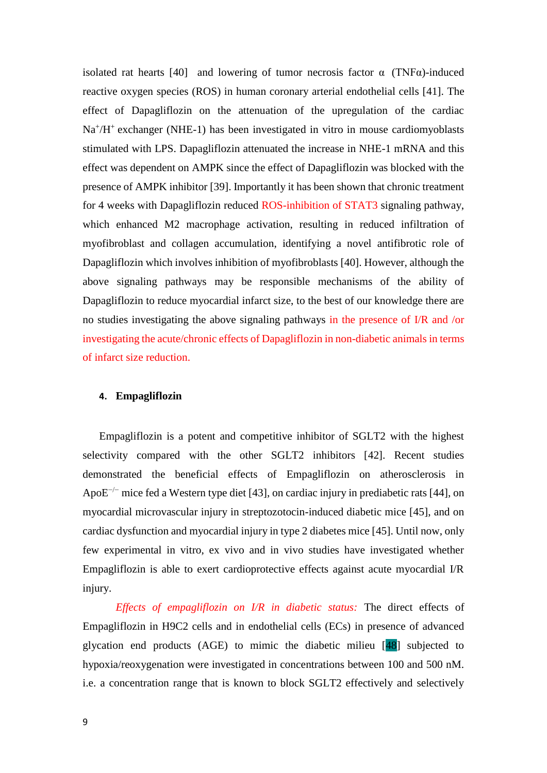isolated rat hearts [40] and lowering of tumor necrosis factor  $\alpha$  (TNF $\alpha$ )-induced reactive oxygen species (ROS) in human coronary arterial endothelial cells [41]. The effect of Dapagliflozin on the attenuation of the upregulation of the cardiac Na<sup>+</sup>/H<sup>+</sup> exchanger (NHE-1) has been investigated in vitro in mouse cardiomyoblasts stimulated with LPS. Dapagliflozin attenuated the increase in NHE-1 mRNA and this effect was dependent on AMPK since the effect of Dapagliflozin was blocked with the presence of AMPK inhibitor [39]. Importantly it has been shown that chronic treatment for 4 weeks with Dapagliflozin reduced ROS-inhibition of STAT3 signaling pathway, which enhanced M2 macrophage activation, resulting in reduced infiltration of myofibroblast and collagen accumulation, identifying a novel antifibrotic role of Dapagliflozin which involves inhibition of myofibroblasts [40]. However, although the above signaling pathways may be responsible mechanisms of the ability of Dapagliflozin to reduce myocardial infarct size, to the best of our knowledge there are no studies investigating the above signaling pathways in the presence of I/R and /or investigating the acute/chronic effects of Dapagliflozin in non-diabetic animals in terms of infarct size reduction.

#### **4. Empagliflozin**

Empagliflozin is a potent and competitive inhibitor of SGLT2 with the highest selectivity compared with the other SGLT2 inhibitors [42]. Recent studies demonstrated the beneficial effects of Empagliflozin on atherosclerosis in ApoE<sup> $-/-$ </sup> mice fed a Western type diet [43], on cardiac injury in prediabetic rats [44], on myocardial microvascular injury in streptozotocin-induced diabetic mice [45], and on cardiac dysfunction and myocardial injury in type 2 diabetes mice [45]. Until now, only few experimental in vitro, ex vivo and in vivo studies have investigated whether Empagliflozin is able to exert cardioprotective effects against acute myocardial I/R injury.

*Effects of empagliflozin on I/R in diabetic status:* The direct effects of Empagliflozin in H9C2 cells and in endothelial cells (ECs) in presence of advanced glycation end products (AGE) to mimic the diabetic milieu [48] subjected to hypoxia/reoxygenation were investigated in concentrations between 100 and 500 nM. i.e. a concentration range that is known to block SGLT2 effectively and selectively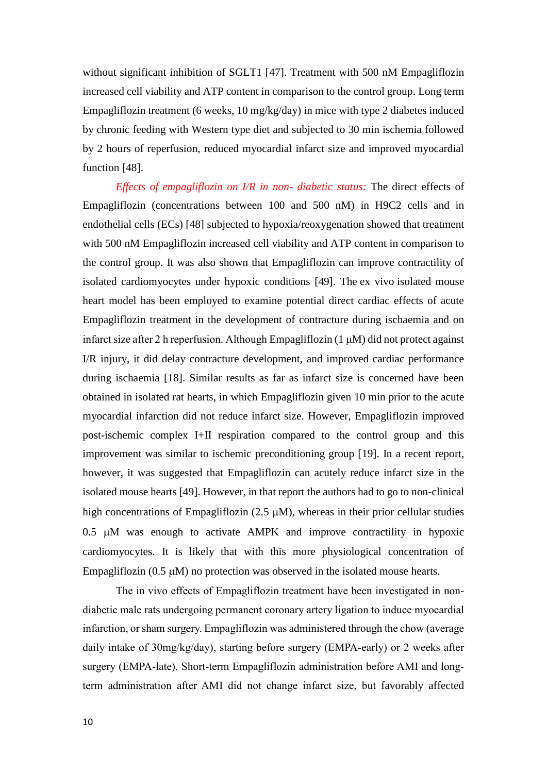without significant inhibition of SGLT1 [47]. Treatment with 500 nM Empagliflozin increased cell viability and ATP content in comparison to the control group. Long term Empagliflozin treatment (6 weeks, 10 mg/kg/day) in mice with type 2 diabetes induced by chronic feeding with Western type diet and subjected to 30 min ischemia followed by 2 hours of reperfusion, reduced myocardial infarct size and improved myocardial function [48].

*Effects of empagliflozin on I/R in non- diabetic status:* The direct effects of Empagliflozin (concentrations between 100 and 500 nM) in H9C2 cells and in endothelial cells (ECs) [48] subjected to hypoxia/reoxygenation showed that treatment with 500 nM Empagliflozin increased cell viability and ATP content in comparison to the control group. It was also shown that Empagliflozin can improve contractility of isolated cardiomyocytes under hypoxic conditions [49]. The ex vivo isolated mouse heart model has been employed to examine potential direct cardiac effects of acute Empagliflozin treatment in the development of contracture during ischaemia and on infarct size after 2 h reperfusion. Although Empagliflozin (1  $\mu$ M) did not protect against I/R injury, it did delay contracture development, and improved cardiac performance during ischaemia [18]. Similar results as far as infarct size is concerned have been obtained in isolated rat hearts, in which Empagliflozin given 10 min prior to the acute myocardial infarction did not reduce infarct size. However, Empagliflozin improved post-ischemic complex I+II respiration compared to the control group and this improvement was similar to ischemic preconditioning group [19]. In a recent report, however, it was suggested that Empagliflozin can acutely reduce infarct size in the isolated mouse hearts [49]. However, in that report the authors had to go to non-clinical high concentrations of Empagliflozin  $(2.5 \mu M)$ , whereas in their prior cellular studies  $0.5$   $\mu$ M was enough to activate AMPK and improve contractility in hypoxic cardiomyocytes. It is likely that with this more physiological concentration of Empagliflozin (0.5  $\mu$ M) no protection was observed in the isolated mouse hearts.

The in vivo effects of Empagliflozin treatment have been investigated in nondiabetic male rats undergoing permanent coronary artery ligation to induce myocardial infarction, or sham surgery. Empagliflozin was administered through the chow (average daily intake of 30mg/kg/day), starting before surgery (EMPA-early) or 2 weeks after surgery (EMPA-late). Short-term Empagliflozin administration before AMI and longterm administration after AMI did not change infarct size, but favorably affected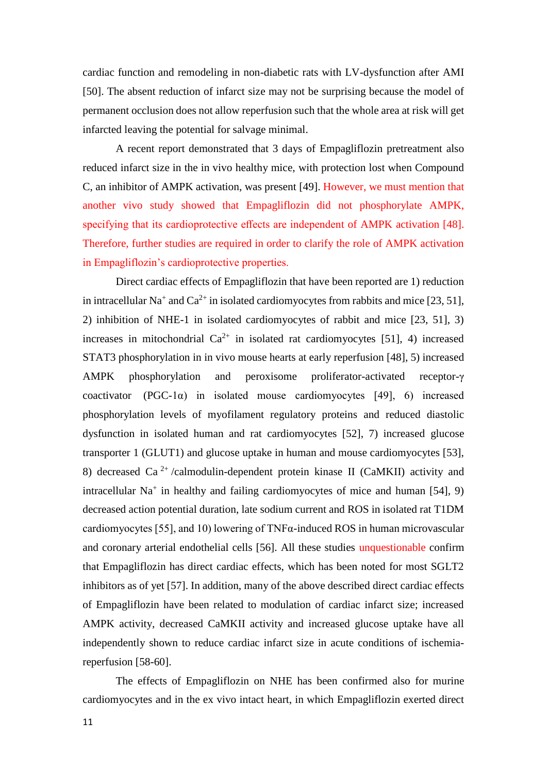cardiac function and remodeling in non-diabetic rats with LV-dysfunction after AMI [50]. The absent reduction of infarct size may not be surprising because the model of permanent occlusion does not allow reperfusion such that the whole area at risk will get infarcted leaving the potential for salvage minimal.

A recent report demonstrated that 3 days of Empagliflozin pretreatment also reduced infarct size in the in vivo healthy mice, with protection lost when Compound C, an inhibitor of AMPK activation, was present [49]. However, we must mention that another vivo study showed that Empagliflozin did not phosphorylate AMPK, specifying that its cardioprotective effects are independent of AMPK activation [48]. Therefore, further studies are required in order to clarify the role of AMPK activation in Empagliflozin's cardioprotective properties.

Direct cardiac effects of Empagliflozin that have been reported are 1) reduction in intracellular Na<sup>+</sup> and Ca<sup>2+</sup> in isolated cardiomyocytes from rabbits and mice [23, 51], 2) inhibition of NHE-1 in isolated cardiomyocytes of rabbit and mice [23, 51], 3) increases in mitochondrial  $Ca^{2+}$  in isolated rat cardiomyocytes [51], 4) increased STAT3 phosphorylation in in vivo mouse hearts at early reperfusion [48], 5) increased AMPK phosphorylation and peroxisome proliferator-activated receptor-γ coactivator (PGC-1 $\alpha$ ) in isolated mouse cardiomyocytes [49], 6) increased phosphorylation levels of myofilament regulatory proteins and reduced diastolic dysfunction in isolated human and rat cardiomyocytes [52], 7) increased glucose transporter 1 (GLUT1) and glucose uptake in human and mouse cardiomyocytes [53], 8) decreased Ca<sup>2+</sup>/calmodulin-dependent protein kinase II (CaMKII) activity and intracellular Na<sup>+</sup> in healthy and failing cardiomyocytes of mice and human [54], 9) decreased action potential duration, late sodium current and ROS in isolated rat T1DM cardiomyocytes [55], and 10) lowering of  $TNF\alpha$ -induced ROS in human microvascular and coronary arterial endothelial cells [56]. All these studies unquestionable confirm that Empagliflozin has direct cardiac effects, which has been noted for most SGLT2 inhibitors as of yet [57]. In addition, many of the above described direct cardiac effects of Empagliflozin have been related to modulation of cardiac infarct size; increased AMPK activity, decreased CaMKII activity and increased glucose uptake have all independently shown to reduce cardiac infarct size in acute conditions of ischemiareperfusion [58-60].

The effects of Empagliflozin on NHE has been confirmed also for murine cardiomyocytes and in the ex vivo intact heart, in which Empagliflozin exerted direct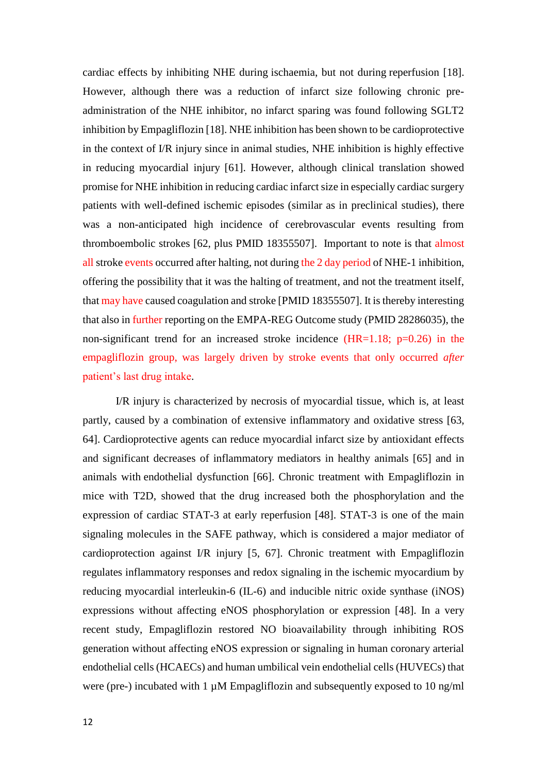cardiac effects by inhibiting NHE during ischaemia, but not during reperfusion [18]. However, although there was a reduction of infarct size following chronic preadministration of the NHE inhibitor, no infarct sparing was found following SGLT2 inhibition by Empagliflozin [18]. NHE inhibition has been shown to be cardioprotective in the context of I/R injury since in animal studies, NHE inhibition is highly effective in reducing myocardial injury [61]. However, although clinical translation showed promise for NHE inhibition in reducing cardiac infarct size in especially cardiac surgery patients with well-defined ischemic episodes (similar as in preclinical studies), there was a non-anticipated high incidence of cerebrovascular events resulting from thromboembolic strokes [62, plus PMID 18355507]. Important to note is that almost all stroke events occurred after halting, not during the 2 day period of NHE-1 inhibition, offering the possibility that it was the halting of treatment, and not the treatment itself, that may have caused coagulation and stroke [PMID 18355507]. It is thereby interesting that also in further reporting on the EMPA-REG Outcome study (PMID 28286035), the non-significant trend for an increased stroke incidence  $(HR=1.18; p=0.26)$  in the empagliflozin group, was largely driven by stroke events that only occurred *after* patient's last drug intake.

I/R injury is characterized by necrosis of myocardial tissue, which is, at least partly, caused by a combination of extensive inflammatory and oxidative stress [\[63,](https://www.ncbi.nlm.nih.gov/pmc/articles/PMC6831864/#bib3) 64]. Cardioprotective agents can reduce myocardial infarct size by antioxidant effects and significant decreases of inflammatory mediators in healthy animals [65] and in animals with endothelial dysfunction [66]. Chronic treatment with Empagliflozin in mice with T2D, showed that the drug increased both the phosphorylation and the expression of cardiac STAT-3 at early reperfusion [48]. STAT-3 is one of the main signaling molecules in the SAFE pathway, which is considered a major mediator of cardioprotection against I/R injury [5, 67]. Chronic treatment with Empagliflozin regulates inflammatory responses and redox signaling in the ischemic myocardium by reducing myocardial interleukin-6 (IL-6) and inducible nitric oxide synthase (iNOS) expressions without affecting eNOS phosphorylation or expression [48]. In a very recent study, Empagliflozin restored NO bioavailability through inhibiting ROS generation without affecting eNOS expression or signaling in human coronary arterial endothelial cells (HCAECs) and human umbilical vein endothelial cells (HUVECs) that were (pre-) incubated with 1  $\mu$ M Empagliflozin and subsequently exposed to 10 ng/ml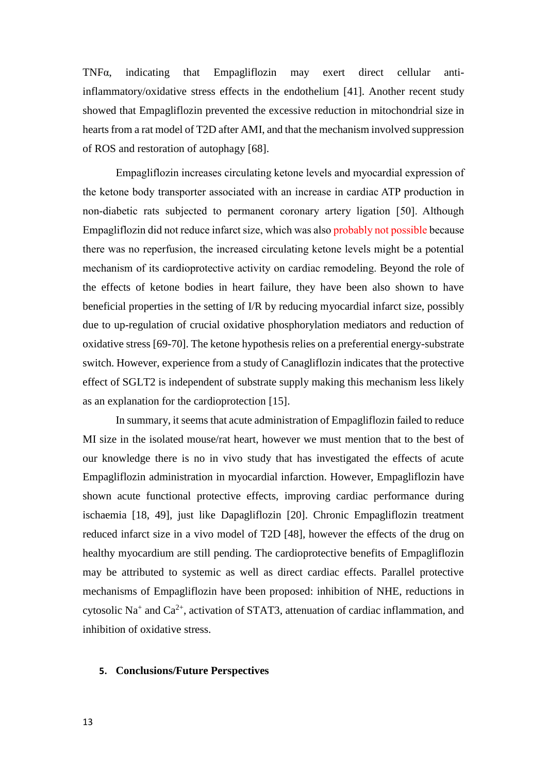TNFα, indicating that Empagliflozin may exert direct cellular antiinflammatory/oxidative stress effects in the endothelium [41]. Another recent study showed that Empagliflozin prevented the excessive reduction in mitochondrial size in hearts from a rat model of T2D after AMI, and that the mechanism involved suppression of ROS and restoration of autophagy [68].

Empagliflozin increases circulating ketone levels and myocardial expression of the ketone body transporter associated with an increase in cardiac ATP production in non-diabetic rats subjected to permanent coronary artery ligation [50]. Although Empagliflozin did not reduce infarct size, which was also probably not possible because there was no reperfusion, the increased circulating ketone levels might be a potential mechanism of its cardioprotective activity on cardiac remodeling. Beyond the role of the effects of ketone bodies in heart failure, they have been also shown to have beneficial properties in the setting of I/R by reducing myocardial infarct size, possibly due to up-regulation of crucial oxidative phosphorylation mediators and reduction of oxidative stress [69-70]. The ketone hypothesis relies on a preferential energy-substrate switch. However, experience from a study of Canagliflozin indicates that the protective effect of SGLT2 is independent of substrate supply making this mechanism less likely as an explanation for the cardioprotection [15].

In summary, it seems that acute administration of Empagliflozin failed to reduce MI size in the isolated mouse/rat heart, however we must mention that to the best of our knowledge there is no in vivo study that has investigated the effects of acute Empagliflozin administration in myocardial infarction. However, Empagliflozin have shown acute functional protective effects, improving cardiac performance during ischaemia [18, 49], just like Dapagliflozin [20]. Chronic Empagliflozin treatment reduced infarct size in a vivo model of T2D [48], however the effects of the drug on healthy myocardium are still pending. The cardioprotective benefits of Empagliflozin may be attributed to systemic as well as direct cardiac effects. Parallel protective mechanisms of Empagliflozin have been proposed: inhibition of NHE, reductions in cytosolic Na<sup>+</sup> and Ca<sup>2+</sup>, activation of STAT3, attenuation of cardiac inflammation, and inhibition of oxidative stress.

#### **5. Conclusions/Future Perspectives**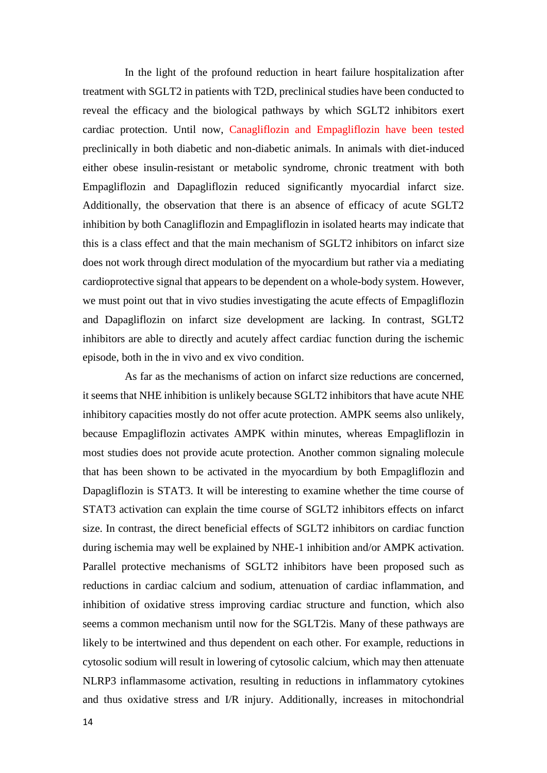In the light of the profound reduction in heart failure hospitalization after treatment with SGLT2 in patients with T2D, preclinical studies have been conducted to reveal the efficacy and the biological pathways by which SGLT2 inhibitors exert cardiac protection. Until now, Canagliflozin and Empagliflozin have been tested preclinically in both diabetic and non-diabetic animals. In animals with diet-induced either obese insulin-resistant or metabolic syndrome, chronic treatment with both Empagliflozin and Dapagliflozin reduced significantly myocardial infarct size. Additionally, the observation that there is an absence of efficacy of acute SGLT2 inhibition by both Canagliflozin and Empagliflozin in isolated hearts may indicate that this is a class effect and that the main mechanism of SGLT2 inhibitors on infarct size does not work through direct modulation of the myocardium but rather via a mediating cardioprotective signal that appears to be dependent on a whole-body system. However, we must point out that in vivo studies investigating the acute effects of Empagliflozin and Dapagliflozin on infarct size development are lacking. In contrast, SGLT2 inhibitors are able to directly and acutely affect cardiac function during the ischemic episode, both in the in vivo and ex vivo condition.

As far as the mechanisms of action on infarct size reductions are concerned, it seems that NHE inhibition is unlikely because SGLT2 inhibitors that have acute NHE inhibitory capacities mostly do not offer acute protection. AMPK seems also unlikely, because Empagliflozin activates AMPK within minutes, whereas Empagliflozin in most studies does not provide acute protection. Another common signaling molecule that has been shown to be activated in the myocardium by both Empagliflozin and Dapagliflozin is STAT3. It will be interesting to examine whether the time course of STAT3 activation can explain the time course of SGLT2 inhibitors effects on infarct size. In contrast, the direct beneficial effects of SGLT2 inhibitors on cardiac function during ischemia may well be explained by NHE-1 inhibition and/or AMPK activation. Parallel protective mechanisms of SGLT2 inhibitors have been proposed such as reductions in cardiac calcium and sodium, attenuation of cardiac inflammation, and inhibition of oxidative stress improving cardiac structure and function, which also seems a common mechanism until now for the SGLT2is. Many of these pathways are likely to be intertwined and thus dependent on each other. For example, reductions in cytosolic sodium will result in lowering of cytosolic calcium, which may then attenuate NLRP3 inflammasome activation, resulting in reductions in inflammatory cytokines and thus oxidative stress and I/R injury. Additionally, increases in mitochondrial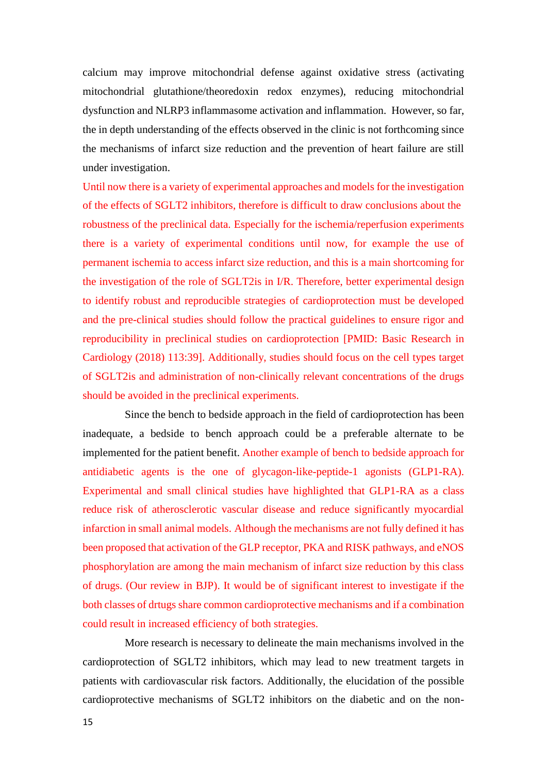calcium may improve mitochondrial defense against oxidative stress (activating mitochondrial glutathione/theoredoxin redox enzymes), reducing mitochondrial dysfunction and NLRP3 inflammasome activation and inflammation. However, so far, the in depth understanding of the effects observed in the clinic is not forthcoming since the mechanisms of infarct size reduction and the prevention of heart failure are still under investigation.

Until now there is a variety of experimental approaches and models for the investigation of the effects of SGLT2 inhibitors, therefore is difficult to draw conclusions about the robustness of the preclinical data. Especially for the ischemia/reperfusion experiments there is a variety of experimental conditions until now, for example the use of permanent ischemia to access infarct size reduction, and this is a main shortcoming for the investigation of the role of SGLT2is in I/R. Therefore, better experimental design to identify robust and reproducible strategies of cardioprotection must be developed and the pre-clinical studies should follow the practical guidelines to ensure rigor and reproducibility in preclinical studies on cardioprotection [PMID: Basic Research in Cardiology (2018) 113:39]. Additionally, studies should focus on the cell types target of SGLT2is and administration of non-clinically relevant concentrations of the drugs should be avoided in the preclinical experiments.

Since the bench to bedside approach in the field of cardioprotection has been inadequate, a bedside to bench approach could be a preferable alternate to be implemented for the patient benefit. Another example of bench to bedside approach for antidiabetic agents is the one of glycagon-like-peptide-1 agonists (GLP1-RA). Experimental and small clinical studies have highlighted that GLP1-RA as a class reduce risk of atherosclerotic vascular disease and reduce significantly myocardial infarction in small animal models. Although the mechanisms are not fully defined it has been proposed that activation of the GLP receptor, PKA and RISK pathways, and eNOS phosphorylation are among the main mechanism of infarct size reduction by this class of drugs. (Our review in BJP). It would be of significant interest to investigate if the both classes of drtugs share common cardioprotective mechanisms and if a combination could result in increased efficiency of both strategies.

More research is necessary to delineate the main mechanisms involved in the cardioprotection of SGLT2 inhibitors, which may lead to new treatment targets in patients with cardiovascular risk factors. Additionally, the elucidation of the possible cardioprotective mechanisms of SGLT2 inhibitors on the diabetic and on the non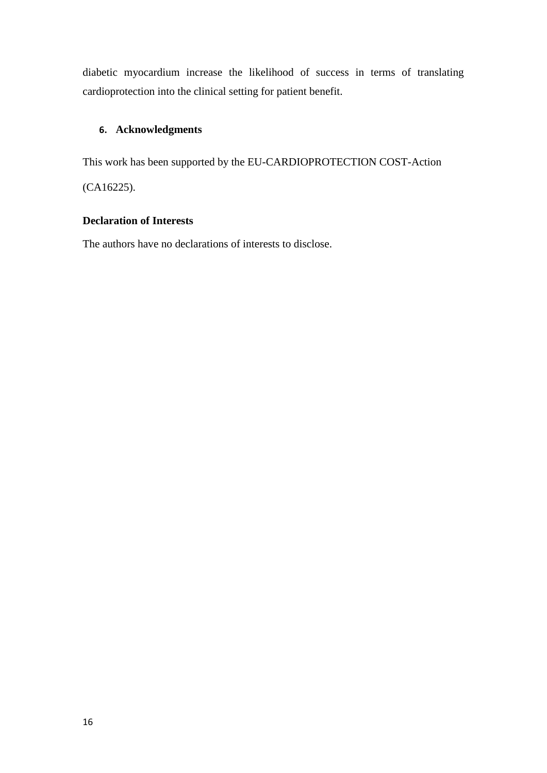diabetic myocardium increase the likelihood of success in terms of translating cardioprotection into the clinical setting for patient benefit.

## **6. Acknowledgments**

This work has been supported by the EU-CARDIOPROTECTION COST-Action

(CA16225).

### **Declaration of Interests**

The authors have no declarations of interests to disclose.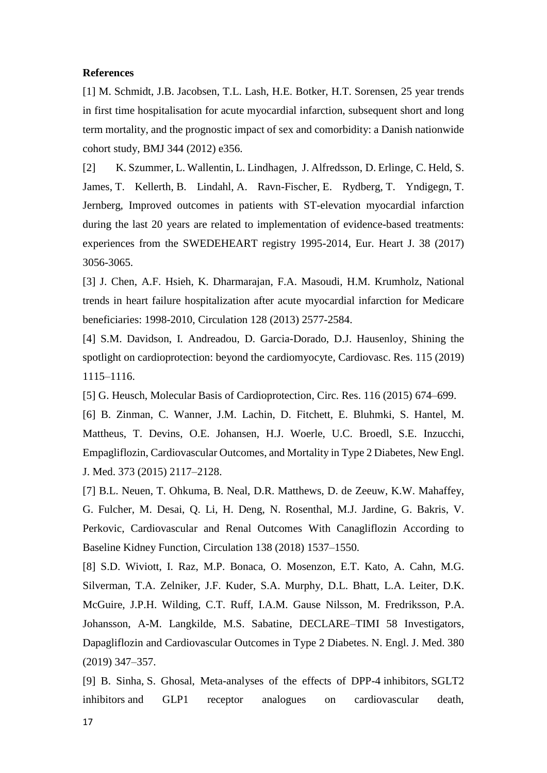#### **References**

[1] M. Schmidt, J.B. Jacobsen, T.L. Lash, H.E. Botker, H.T. Sorensen, 25 year trends in first time hospitalisation for acute myocardial infarction, subsequent short and long term mortality, and the prognostic impact of sex and comorbidity: a Danish nationwide cohort study, BMJ 344 (2012) e356.

[2] K. Szummer, L. Wallentin, L. Lindhagen, J. Alfredsson, D. Erlinge, C. Held, S. James, T. Kellerth, B. Lindahl, A. Ravn-Fischer, E. Rydberg, T. Yndigegn, T. Jernberg, Improved outcomes in patients with ST-elevation myocardial infarction during the last 20 years are related to implementation of evidence-based treatments: experiences from the SWEDEHEART registry 1995-2014, Eur. Heart J. 38 (2017) 3056-3065.

[3] J. Chen, A.F. Hsieh, K. Dharmarajan, F.A. Masoudi, H.M. Krumholz, National trends in heart failure hospitalization after acute myocardial infarction for Medicare beneficiaries: 1998-2010, Circulation 128 (2013) 2577-2584.

[4] S.M. Davidson, I. Andreadou, D. Garcia-Dorado, D.J. Hausenloy, Shining the spotlight on cardioprotection: beyond the cardiomyocyte, Cardiovasc. Res. 115 (2019) 1115–1116.

[5] G. Heusch, Molecular Basis of Cardioprotection, Circ. Res. 116 (2015) 674–699.

[6] B. Zinman, C. Wanner, J.M. Lachin, D. Fitchett, E. Bluhmki, S. Hantel, M. Mattheus, T. Devins, O.E. Johansen, H.J. Woerle, U.C. Broedl, S.E. Inzucchi, Empagliflozin, Cardiovascular Outcomes, and Mortality in Type 2 Diabetes, New Engl. J. Med. 373 (2015) 2117–2128.

[7] B.L. Neuen, T. Ohkuma, B. Neal, D.R. Matthews, D. de Zeeuw, K.W. Mahaffey, G. Fulcher, M. Desai, Q. Li, H. Deng, N. Rosenthal, M.J. Jardine, G. Bakris, V. Perkovic, Cardiovascular and Renal Outcomes With Canagliflozin According to Baseline Kidney Function, Circulation 138 (2018) 1537–1550.

[8] S.D. Wiviott, I. Raz, M.P. Bonaca, O. Mosenzon, E.T. Kato, A. Cahn, M.G. Silverman, T.A. Zelniker, J.F. Kuder, S.A. Murphy, D.L. Bhatt, L.A. Leiter, D.K. McGuire, J.P.H. Wilding, C.T. Ruff, I.A.M. Gause Nilsson, M. Fredriksson, P.A. Johansson, A-M. Langkilde, M.S. Sabatine, DECLARE–TIMI 58 Investigators, Dapagliflozin and Cardiovascular Outcomes in Type 2 Diabetes. N. Engl. J. Med. 380 (2019) 347–357.

[9] B. Sinha, S. Ghosal, Meta-analyses of the effects of DPP-4 inhibitors, SGLT2 inhibitors and GLP1 receptor analogues on cardiovascular death,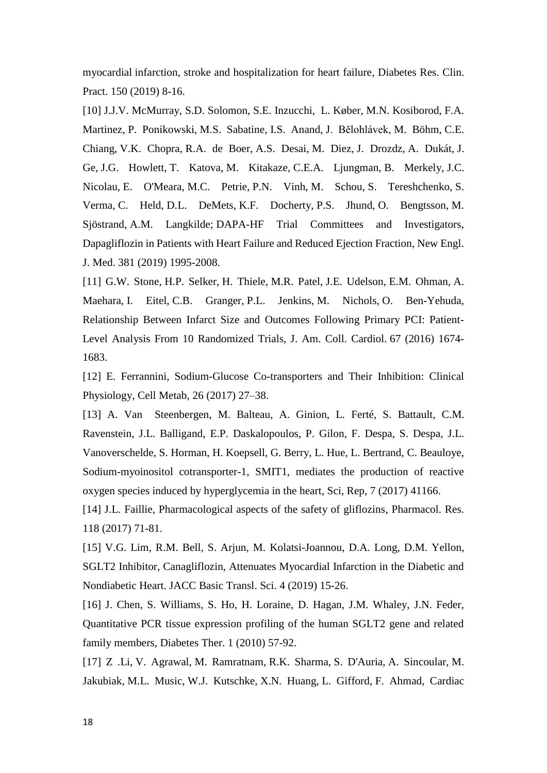myocardial infarction, stroke and hospitalization for heart failure, Diabetes Res. Clin. Pract. 150 (2019) 8-16.

[10] J.J.V. McMurray, S.D. Solomon, S.E. Inzucchi, L. Køber, M.N. Kosiborod, F.A. Martinez, P. Ponikowski, M.S. Sabatine, I.S. Anand, J. Bělohlávek, M. Böhm, C.E. Chiang, V.K. Chopra, R.A. de Boer, A.S. Desai, M. Diez, J. Drozdz, A. Dukát, J. Ge, J.G. Howlett, T. Katova, M. Kitakaze, C.E.A. Ljungman, B. Merkely, J.C. Nicolau, E. O'Meara, M.C. Petrie, P.N. Vinh, M. Schou, S. Tereshchenko, S. Verma, C. Held, D.L. DeMets, K.F. Docherty, P.S. Jhund, O. Bengtsson, M. Sjöstrand, A.M. Langkilde; DAPA-HF Trial Committees and Investigators, Dapagliflozin in Patients with Heart Failure and Reduced Ejection Fraction, New Engl. J. Med. 381 (2019) 1995-2008.

[11] G.W. Stone, H.P. Selker, H. Thiele, M.R. Patel, J.E. Udelson, E.M. Ohman, A. Maehara, I. Eitel, C.B. Granger, P.L. Jenkins, M. Nichols, O. Ben-Yehuda, Relationship Between Infarct Size and Outcomes Following Primary PCI: Patient-Level Analysis From 10 Randomized Trials, J. Am. Coll. Cardiol. 67 (2016) 1674- 1683.

[12] E. Ferrannini, Sodium-Glucose Co-transporters and Their Inhibition: Clinical Physiology, Cell Metab, 26 (2017) 27–38.

[13] A. Van Steenbergen, M. Balteau, A. Ginion, L. Ferté, S. Battault, C.M. Ravenstein, J.L. Balligand, E.P. Daskalopoulos, P. Gilon, F. Despa, S. Despa, J.L. Vanoverschelde, S. Horman, H. Koepsell, G. Berry, L. Hue, L. Bertrand, C. Beauloye, Sodium-myoinositol cotransporter-1, SMIT1, mediates the production of reactive oxygen species induced by hyperglycemia in the heart, Sci, Rep, 7 (2017) 41166.

[14] J.L. Faillie, Pharmacological aspects of the safety of gliflozins, Pharmacol. Res. 118 (2017) 71-81.

[15] V.G. Lim, R.M. Bell, S. Arjun, M. Kolatsi-Joannou, D.A. Long, D.M. Yellon, SGLT2 Inhibitor, Canagliflozin, Attenuates Myocardial Infarction in the Diabetic and Nondiabetic Heart. JACC Basic Transl. Sci. 4 (2019) 15-26.

[16] J. Chen, S. Williams, S. Ho, H. Loraine, D. Hagan, J.M. Whaley, J.N. Feder, Quantitative PCR tissue expression profiling of the human SGLT2 gene and related family members, Diabetes Ther. 1 (2010) 57-92.

[17] Z .Li, V. Agrawal, M. Ramratnam, R.K. Sharma, S. D'Auria, A. Sincoular, M. Jakubiak, M.L. Music, W.J. Kutschke, X.N. Huang, L. Gifford, F. Ahmad, Cardiac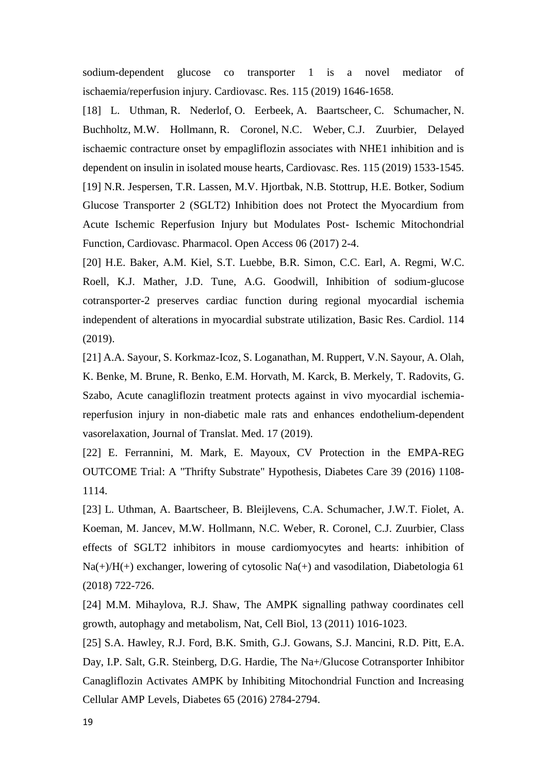sodium-dependent glucose co transporter 1 is a novel mediator of ischaemia/reperfusion injury. Cardiovasc. Res. 115 (2019) 1646-1658.

[18] L. Uthman, R. Nederlof, O. Eerbeek, A. Baartscheer, C. Schumacher, N. Buchholtz, M.W. Hollmann, R. Coronel, N.C. Weber, C.J. Zuurbier, Delayed ischaemic contracture onset by empagliflozin associates with NHE1 inhibition and is dependent on insulin in isolated mouse hearts, Cardiovasc. Res. 115 (2019) 1533-1545. [19] N.R. Jespersen, T.R. Lassen, M.V. Hjortbak, N.B. Stottrup, H.E. Botker, Sodium Glucose Transporter 2 (SGLT2) Inhibition does not Protect the Myocardium from Acute Ischemic Reperfusion Injury but Modulates Post- Ischemic Mitochondrial Function, Cardiovasc. Pharmacol. Open Access 06 (2017) 2-4.

[20] H.E. Baker, A.M. Kiel, S.T. Luebbe, B.R. Simon, C.C. Earl, A. Regmi, W.C. Roell, K.J. Mather, J.D. Tune, A.G. Goodwill, Inhibition of sodium-glucose cotransporter-2 preserves cardiac function during regional myocardial ischemia independent of alterations in myocardial substrate utilization, Basic Res. Cardiol. 114 (2019).

[21] A.A. Sayour, S. Korkmaz-Icoz, S. Loganathan, M. Ruppert, V.N. Sayour, A. Olah, K. Benke, M. Brune, R. Benko, E.M. Horvath, M. Karck, B. Merkely, T. Radovits, G. Szabo, Acute canagliflozin treatment protects against in vivo myocardial ischemiareperfusion injury in non-diabetic male rats and enhances endothelium-dependent vasorelaxation, Journal of Translat. Med. 17 (2019).

[22] E. Ferrannini, M. Mark, E. Mayoux, CV Protection in the EMPA-REG OUTCOME Trial: A "Thrifty Substrate" Hypothesis, Diabetes Care 39 (2016) 1108- 1114.

[23] L. Uthman, A. Baartscheer, B. Bleijlevens, C.A. Schumacher, J.W.T. Fiolet, A. Koeman, M. Jancev, M.W. Hollmann, N.C. Weber, R. Coronel, C.J. Zuurbier, Class effects of SGLT2 inhibitors in mouse cardiomyocytes and hearts: inhibition of Na(+)/H(+) exchanger, lowering of cytosolic Na(+) and vasodilation, Diabetologia 61 (2018) 722-726.

[24] M.M. Mihaylova, R.J. Shaw, The AMPK signalling pathway coordinates cell growth, autophagy and metabolism, Nat, Cell Biol, 13 (2011) 1016-1023.

[25] S.A. Hawley, R.J. Ford, B.K. Smith, G.J. Gowans, S.J. Mancini, R.D. Pitt, E.A. Day, I.P. Salt, G.R. Steinberg, D.G. Hardie, The Na+/Glucose Cotransporter Inhibitor Canagliflozin Activates AMPK by Inhibiting Mitochondrial Function and Increasing Cellular AMP Levels, Diabetes 65 (2016) 2784-2794.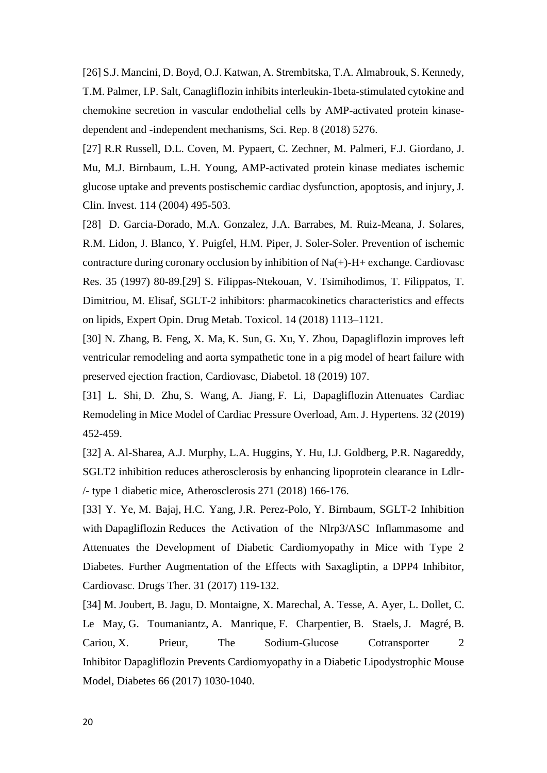[26] S.J. Mancini, D. Boyd, O.J. Katwan, A. Strembitska, T.A. Almabrouk, S. Kennedy, T.M. Palmer, I.P. Salt, Canagliflozin inhibits interleukin-1beta-stimulated cytokine and chemokine secretion in vascular endothelial cells by AMP-activated protein kinasedependent and -independent mechanisms, Sci. Rep. 8 (2018) 5276.

[27] R.R Russell, D.L. Coven, M. Pypaert, C. Zechner, M. Palmeri, F.J. Giordano, J. Mu, M.J. Birnbaum, L.H. Young, AMP-activated protein kinase mediates ischemic glucose uptake and prevents postischemic cardiac dysfunction, apoptosis, and injury, J. Clin. Invest. 114 (2004) 495-503.

[28] D. Garcia-Dorado, M.A. Gonzalez, J.A. Barrabes, M. Ruiz-Meana, J. Solares, R.M. Lidon, J. Blanco, Y. Puigfel, H.M. Piper, J. Soler-Soler. Prevention of ischemic contracture during coronary occlusion by inhibition of Na(+)-H+ exchange. Cardiovasc Res. 35 (1997) 80-89.[29] S. Filippas-Ntekouan, V. Tsimihodimos, T. Filippatos, T. Dimitriou, M. Elisaf, SGLT-2 inhibitors: pharmacokinetics characteristics and effects on lipids, Expert Opin. Drug Metab. Toxicol. 14 (2018) 1113–1121.

[30] N. Zhang, B. Feng, X. Ma, K. Sun, G. Xu, Y. Zhou, Dapagliflozin improves left ventricular remodeling and aorta sympathetic tone in a pig model of heart failure with preserved ejection fraction, Cardiovasc, Diabetol. 18 (2019) 107.

[31] L. Shi, D. Zhu, S. Wang, A. Jiang, F. Li, Dapagliflozin Attenuates Cardiac Remodeling in Mice Model of Cardiac Pressure Overload, Am. J. Hypertens. 32 (2019) 452-459.

[32] A. Al-Sharea, A.J. Murphy, L.A. Huggins, Y. Hu, I.J. Goldberg, P.R. Nagareddy, SGLT2 inhibition reduces atherosclerosis by enhancing lipoprotein clearance in Ldlr- /- type 1 diabetic mice, Atherosclerosis 271 (2018) 166-176.

[33] Y. Ye, M. Bajaj, H.C. Yang, J.R. Perez-Polo, Y. Birnbaum, SGLT-2 Inhibition with Dapagliflozin Reduces the Activation of the Nlrp3/ASC Inflammasome and Attenuates the Development of Diabetic Cardiomyopathy in Mice with Type 2 Diabetes. Further Augmentation of the Effects with Saxagliptin, a DPP4 Inhibitor, Cardiovasc. Drugs Ther. 31 (2017) 119-132.

[34] M. Joubert, B. Jagu, D. Montaigne, X. Marechal, A. Tesse, A. Ayer, L. Dollet, C. Le May, G. Toumaniantz, A. Manrique, F. Charpentier, B. Staels, J. Magré, B. Cariou, X. Prieur, The Sodium-Glucose Cotransporter 2 Inhibitor Dapagliflozin Prevents Cardiomyopathy in a Diabetic Lipodystrophic Mouse Model, Diabetes 66 (2017) 1030-1040.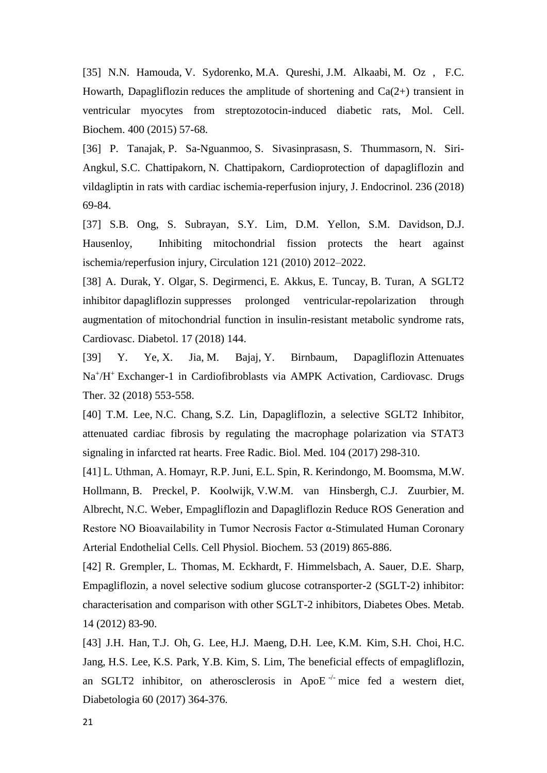[35] N.N. Hamouda, V. Sydorenko, M.A. Qureshi, J.M. Alkaabi, M. [Oz ,](https://www.ncbi.nlm.nih.gov/pubmed/?term=Oz%20M%5BAuthor%5D&cauthor=true&cauthor_uid=25351341) F.C. Howarth, Dapagliflozin reduces the amplitude of shortening and  $Ca(2+)$  transient in ventricular myocytes from streptozotocin-induced diabetic rats, Mol. Cell. Biochem. 400 (2015) 57-68.

[36] P. Tanajak, P. Sa-Nguanmoo, S. Sivasinprasasn, S. Thummasorn, N. Siri-Angkul, S.C. Chattipakorn, N. Chattipakorn, Cardioprotection of dapagliflozin and vildagliptin in rats with cardiac ischemia-reperfusion injury, J. Endocrinol. 236 (2018) 69-84.

[37] S.B. Ong, S. Subrayan, S.Y. Lim, D.M. Yellon, S.M. Davidson, D.J. Hausenloy, Inhibiting mitochondrial fission protects the heart against ischemia/reperfusion injury, Circulation 121 (2010) 2012–2022.

[38] A. Durak, Y. Olgar, S. Degirmenci, E. Akkus, E. Tuncay, B. Turan, A SGLT2 inhibitor dapagliflozin suppresses prolonged ventricular-repolarization through augmentation of mitochondrial function in insulin-resistant metabolic syndrome rats, Cardiovasc. Diabetol. 17 (2018) 144.

[39] Y. Ye, X. Jia, M. Bajaj, Y. Birnbaum, Dapagliflozin Attenuates Na<sup>+</sup>/H<sup>+</sup> Exchanger-1 in Cardiofibroblasts via AMPK Activation, Cardiovasc. Drugs Ther. 32 (2018) 553-558.

[40] T.M. Lee, N.C. Chang, S.Z. Lin, Dapagliflozin, a selective SGLT2 Inhibitor, attenuated cardiac fibrosis by regulating the macrophage polarization via STAT3 signaling in infarcted rat hearts. Free Radic. Biol. Med. 104 (2017) 298-310.

[41] L. Uthman, A. Homayr, R.P. Juni, E.L. Spin, R. Kerindongo, M. Boomsma, M.W. Hollmann, B. Preckel, P. Koolwijk, V.W.M. van Hinsbergh, C.J. Zuurbier, M. Albrecht, N.C. Weber, Empagliflozin and Dapagliflozin Reduce ROS Generation and Restore NO Bioavailability in Tumor Necrosis Factor α-Stimulated Human Coronary Arterial Endothelial Cells. Cell Physiol. Biochem. 53 (2019) 865-886.

[42] R. Grempler, L. Thomas, M. Eckhardt, F. Himmelsbach, A. Sauer, D.E. Sharp, Empagliflozin, a novel selective sodium glucose cotransporter-2 (SGLT-2) inhibitor: characterisation and comparison with other SGLT-2 inhibitors, Diabetes Obes. Metab. 14 (2012) 83-90.

[43] J.H. Han, T.J. Oh, G. Lee, H.J. Maeng, D.H. Lee, K.M. Kim, S.H. Choi, H.C. Jang, H.S. Lee, K.S. Park, Y.B. Kim, S. Lim, The beneficial effects of empagliflozin, an SGLT2 inhibitor, on atherosclerosis in ApoE $\pm$ mice fed a western diet, Diabetologia 60 (2017) 364-376.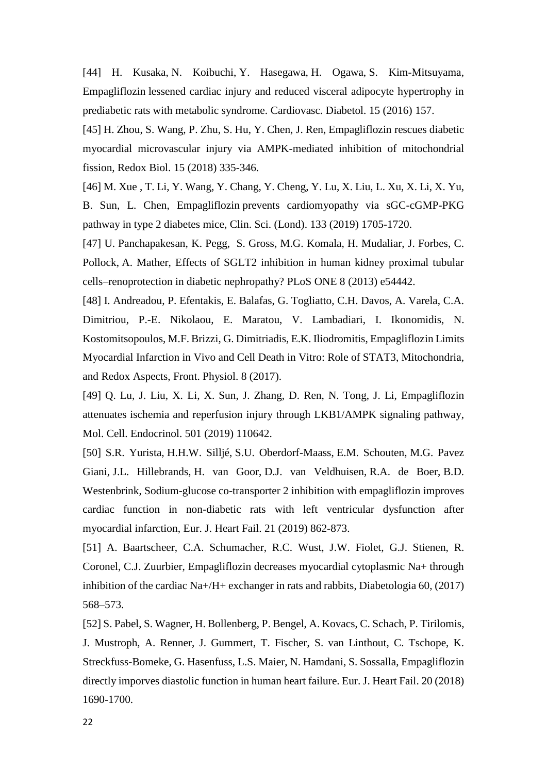[44] H. Kusaka, N. Koibuchi, Y. Hasegawa, H. Ogawa, S. Kim-Mitsuyama, Empagliflozin lessened cardiac injury and reduced visceral adipocyte hypertrophy in prediabetic rats with metabolic syndrome. Cardiovasc. Diabetol. 15 (2016) 157.

[45] H. Zhou, S. Wang, P. Zhu, S. Hu, Y. Chen, J. Ren, Empagliflozin rescues diabetic myocardial microvascular injury via AMPK-mediated inhibition of mitochondrial fission, Redox Biol. 15 (2018) 335-346.

[46] M. Xue , T. Li, Y. Wang, Y. Chang, Y. Cheng, Y. Lu, X. Liu, L. Xu, X. Li, X. Yu, B. Sun, L. Chen, Empagliflozin prevents cardiomyopathy via sGC-cGMP-PKG pathway in type 2 diabetes mice, Clin. Sci. (Lond). 133 (2019) 1705-1720.

[47] U. Panchapakesan, K. Pegg, S. Gross, M.G. Komala, H. Mudaliar, J. Forbes, C. Pollock, A. Mather, Effects of SGLT2 inhibition in human kidney proximal tubular cells–renoprotection in diabetic nephropathy? PLoS ONE 8 (2013) e54442.

[48] I. Andreadou, P. Efentakis, E. Balafas, G. Togliatto, C.H. Davos, A. Varela, C.A. Dimitriou, P.-E. Nikolaou, E. Maratou, V. Lambadiari, I. Ikonomidis, N. Kostomitsopoulos, M.F. Brizzi, G. Dimitriadis, E.K. Iliodromitis, Empagliflozin Limits Myocardial Infarction in Vivo and Cell Death in Vitro: Role of STAT3, Mitochondria, and Redox Aspects, Front. Physiol. 8 (2017).

[49] Q. Lu, J. Liu, X. Li, X. Sun, J. Zhang, D. Ren, N. Tong, J. Li, Empagliflozin attenuates ischemia and reperfusion injury through LKB1/AMPK signaling pathway, Mol. Cell. Endocrinol. 501 (2019) 110642.

[50] S.R. Yurista, H.H.W. Silljé, S.U. Oberdorf-Maass, E.M. Schouten, M.G. Pavez Giani, J.L. Hillebrands, H. van Goor, D.J. van Veldhuisen, R.A. de Boer, B.D. Westenbrink, Sodium-glucose co-transporter 2 inhibition with empagliflozin improves cardiac function in non-diabetic rats with left ventricular dysfunction after myocardial infarction, Eur. J. Heart Fail. 21 (2019) 862-873.

[51] A. Baartscheer, C.A. Schumacher, R.C. Wust, J.W. Fiolet, G.J. Stienen, R. Coronel, C.J. Zuurbier, Empagliflozin decreases myocardial cytoplasmic Na+ through inhibition of the cardiac Na+/H+ exchanger in rats and rabbits, Diabetologia 60, (2017) 568–573.

[52] S. Pabel, S. Wagner, H. Bollenberg, P. Bengel, A. Kovacs, C. Schach, P. Tirilomis, J. Mustroph, A. Renner, J. Gummert, T. Fischer, S. van Linthout, C. Tschope, K. Streckfuss-Bomeke, G. Hasenfuss, L.S. Maier, N. Hamdani, S. Sossalla, Empagliflozin directly imporves diastolic function in human heart failure. Eur. J. Heart Fail. 20 (2018) 1690-1700.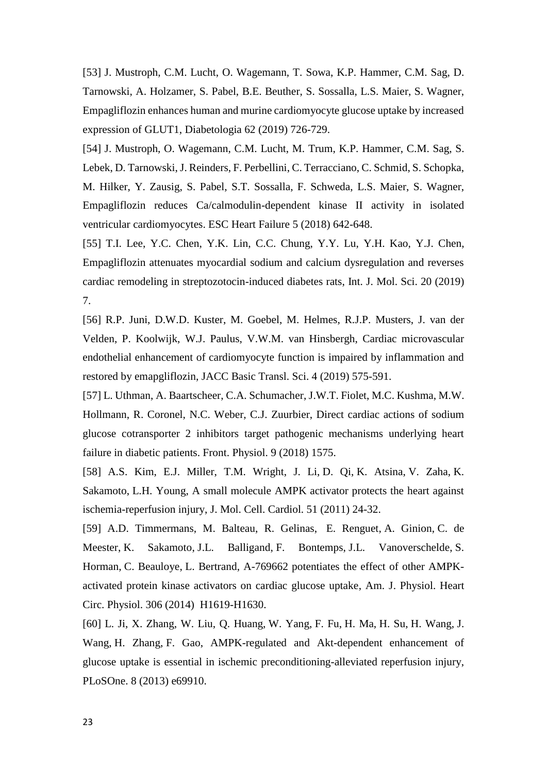[53] J. Mustroph, C.M. Lucht, O. Wagemann, T. Sowa, K.P. Hammer, C.M. Sag, D. Tarnowski, A. Holzamer, S. Pabel, B.E. Beuther, S. Sossalla, L.S. Maier, S. Wagner, Empagliflozin enhances human and murine cardiomyocyte glucose uptake by increased expression of GLUT1, Diabetologia 62 (2019) 726-729.

[54] J. Mustroph, O. Wagemann, C.M. Lucht, M. Trum, K.P. Hammer, C.M. Sag, S. Lebek, D. Tarnowski, J. Reinders, F. Perbellini, C. Terracciano, C. Schmid, S. Schopka, M. Hilker, Y. Zausig, S. Pabel, S.T. Sossalla, F. Schweda, L.S. Maier, S. Wagner, Empagliflozin reduces Ca/calmodulin-dependent kinase II activity in isolated ventricular cardiomyocytes. ESC Heart Failure 5 (2018) 642-648.

[55] T.I. Lee, Y.C. Chen, Y.K. Lin, C.C. Chung, Y.Y. Lu, Y.H. Kao, Y.J. Chen, Empagliflozin attenuates myocardial sodium and calcium dysregulation and reverses cardiac remodeling in streptozotocin-induced diabetes rats, Int. J. Mol. Sci. 20 (2019) 7.

[56] R.P. Juni, D.W.D. Kuster, M. Goebel, M. Helmes, R.J.P. Musters, J. van der Velden, P. Koolwijk, W.J. Paulus, V.W.M. van Hinsbergh, Cardiac microvascular endothelial enhancement of cardiomyocyte function is impaired by inflammation and restored by emapgliflozin, JACC Basic Transl. Sci. 4 (2019) 575-591.

[57] L. Uthman, A. Baartscheer, C.A. Schumacher, J.W.T. Fiolet, M.C. Kushma, M.W. Hollmann, R. Coronel, N.C. Weber, C.J. Zuurbier, Direct cardiac actions of sodium glucose cotransporter 2 inhibitors target pathogenic mechanisms underlying heart failure in diabetic patients. Front. Physiol. 9 (2018) 1575.

[58] A.S. Kim, E.J. Miller, T.M. Wright, J. Li, D. Qi, K. Atsina, V. Zaha, K. Sakamoto, L.H. Young, A small molecule AMPK activator protects the heart against ischemia-reperfusion injury, J. Mol. Cell. Cardiol. 51 (2011) 24-32.

[59] A.D. Timmermans, M. Balteau, R. Gelinas, E. Renguet, A. Ginion, C. de Meester, K. Sakamoto, J.L. Balligand, F. Bontemps, J.L. Vanoverschelde, S. Horman, C. Beauloye, L. Bertrand, A-769662 potentiates the effect of other AMPKactivated protein kinase activators on cardiac glucose uptake, Am. J. Physiol. Heart Circ. Physiol. 306 (2014) H1619-H1630.

[60] L. Ji, X. Zhang, W. Liu, Q. Huang, W. Yang, F. Fu, H. Ma, H. Su, H. Wang, J. Wang, H. Zhang, F. Gao, AMPK-regulated and Akt-dependent enhancement of glucose uptake is essential in ischemic preconditioning-alleviated reperfusion injury, PLoSOne. 8 (2013) e69910.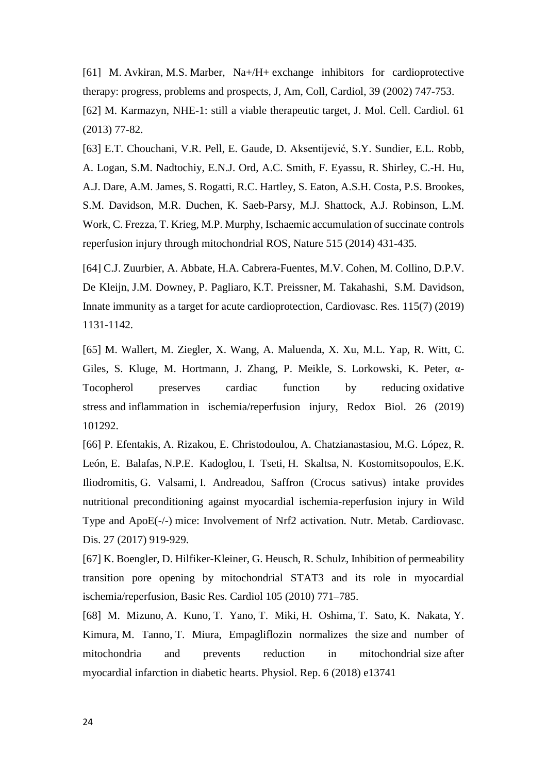[61] M. Avkiran, M.S. Marber, Na+/H+ exchange inhibitors for cardioprotective therapy: progress, problems and prospects, J, Am, Coll, Cardiol, 39 (2002) 747-753. [62] M. Karmazyn, NHE-1: still a viable therapeutic target, J. Mol. Cell. Cardiol. 61

[63] E.T. Chouchani, V.R. Pell, E. Gaude, D. Aksentijević, S.Y. Sundier, E.L. Robb, A. Logan, S.M. Nadtochiy, E.N.J. Ord, A.C. Smith, F. Eyassu, R. Shirley, C.-H. Hu, A.J. Dare, A.M. James, S. Rogatti, R.C. Hartley, S. Eaton, A.S.H. Costa, P.S. Brookes, S.M. Davidson, M.R. Duchen, K. Saeb-Parsy, M.J. Shattock, A.J. Robinson, L.M. Work, C. Frezza, T. Krieg, M.P. Murphy, Ischaemic accumulation of succinate controls reperfusion injury through mitochondrial ROS, Nature 515 (2014) 431-435.

[64] C.J. Zuurbier, A. Abbate, H.A. Cabrera-Fuentes, M.V. Cohen, M. Collino, D.P.V. De Kleijn, J.M. Downey, P. Pagliaro, K.T. Preissner, M. Takahashi, S.M. Davidson, Innate immunity as a target for acute cardioprotection, Cardiovasc. Res. 115(7) (2019) 1131-1142.

[65] M. Wallert, M. Ziegler, X. Wang, A. Maluenda, X. Xu, M.L. Yap, R. Witt, C. Giles, S. Kluge, M. Hortmann, J. Zhang, P. Meikle, S. Lorkowski, K. Peter, α-Tocopherol preserves cardiac function by reducing oxidative stress and inflammation in ischemia/reperfusion injury, Redox Biol. 26 (2019) 101292.

[66] P. Efentakis, A. Rizakou, E. Christodoulou, A. Chatzianastasiou, M.G. López, R. León, E. Balafas, N.P.E. Kadoglou, I. Tseti, H. Skaltsa, N. Kostomitsopoulos, E.K. Iliodromitis, G. Valsami, I. Andreadou, Saffron (Crocus sativus) intake provides nutritional preconditioning against myocardial ischemia-reperfusion injury in Wild Type and ApoE(-/-) mice: Involvement of Nrf2 activation. Nutr. Metab. Cardiovasc. Dis. 27 (2017) 919-929.

[67] K. Boengler, D. Hilfiker-Kleiner, G. Heusch, R. Schulz, Inhibition of permeability transition pore opening by mitochondrial STAT3 and its role in myocardial ischemia/reperfusion, Basic Res. Cardiol 105 (2010) 771–785.

[68] M. Mizuno, A. Kuno, T. Yano, T. Miki, H. Oshima, T. Sato, K. Nakata, Y. Kimura, M. Tanno, T. Miura, Empagliflozin normalizes the size and number of mitochondria and prevents reduction in mitochondrial size after myocardial infarction in diabetic hearts. Physiol. Rep. 6 (2018) e13741

(2013) 77-82.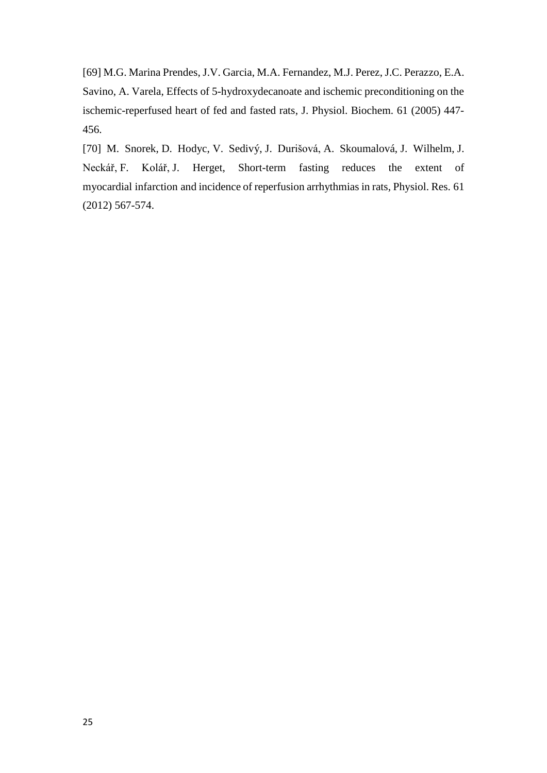[69] M.G. Marina Prendes, J.V. Garcia, M.A. Fernandez, M.J. Perez, J.C. Perazzo, E.A. Savino, A. Varela, Effects of 5-hydroxydecanoate and ischemic preconditioning on the ischemic-reperfused heart of fed and fasted rats, J. Physiol. Biochem. 61 (2005) 447- 456.

[70] M. Snorek, D. Hodyc, V. Sedivý, J. Durišová, A. Skoumalová, J. Wilhelm, J. Neckář, F. Kolář, J. Herget, Short-term fasting reduces the extent of myocardial infarction and incidence of reperfusion arrhythmias in rats, Physiol. Res. 61 (2012) 567-574.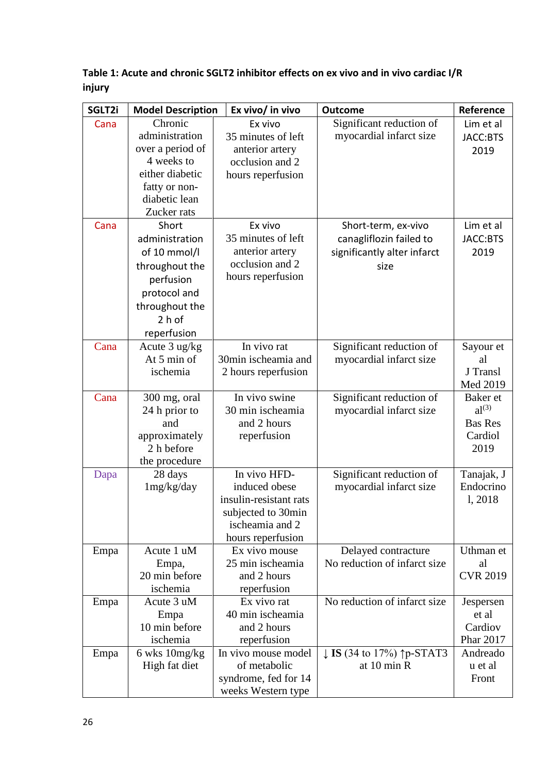| SGLT2i | <b>Model Description</b> | Ex vivo/ in vivo       | <b>Outcome</b>                                        | Reference       |
|--------|--------------------------|------------------------|-------------------------------------------------------|-----------------|
| Cana   | Chronic                  | Ex vivo                | Significant reduction of                              | Lim et al       |
|        | administration           | 35 minutes of left     | myocardial infarct size                               | JACC:BTS        |
|        | over a period of         | anterior artery        |                                                       | 2019            |
|        | 4 weeks to               | occlusion and 2        |                                                       |                 |
|        | either diabetic          | hours reperfusion      |                                                       |                 |
|        | fatty or non-            |                        |                                                       |                 |
|        | diabetic lean            |                        |                                                       |                 |
|        | Zucker rats              |                        |                                                       |                 |
| Cana   | Short                    | Ex vivo                | Short-term, ex-vivo                                   | Lim et al       |
|        | administration           | 35 minutes of left     | canagliflozin failed to                               | JACC:BTS        |
|        | of 10 mmol/l             | anterior artery        | significantly alter infarct                           | 2019            |
|        | throughout the           | occlusion and 2        | size                                                  |                 |
|        | perfusion                | hours reperfusion      |                                                       |                 |
|        | protocol and             |                        |                                                       |                 |
|        | throughout the           |                        |                                                       |                 |
|        | $2h$ of                  |                        |                                                       |                 |
|        | reperfusion              |                        |                                                       |                 |
| Cana   | Acute 3 ug/kg            | In vivo rat            | Significant reduction of                              | Sayour et       |
|        | At 5 min of              | 30min ischeamia and    | myocardial infarct size                               | al              |
|        | ischemia                 | 2 hours reperfusion    |                                                       | J Transl        |
|        |                          |                        |                                                       | Med 2019        |
| Cana   | 300 mg, oral             | In vivo swine          | Significant reduction of                              | Baker et        |
|        | 24 h prior to            | 30 min ischeamia       | myocardial infarct size                               | $al^{(3)}$      |
|        | and                      | and 2 hours            |                                                       | <b>Bas Res</b>  |
|        | approximately            | reperfusion            |                                                       | Cardiol         |
|        | 2 h before               |                        |                                                       | 2019            |
|        | the procedure            |                        |                                                       |                 |
| Dapa   | 28 days                  | In vivo HFD-           | Significant reduction of                              | Tanajak, J      |
|        | 1mg/kg/day               | induced obese          | myocardial infarct size                               | Endocrino       |
|        |                          | insulin-resistant rats |                                                       | 1,2018          |
|        |                          | subjected to 30min     |                                                       |                 |
|        |                          | ischeamia and 2        |                                                       |                 |
|        |                          | hours reperfusion      |                                                       |                 |
| Empa   | Acute 1 uM               | Ex vivo mouse          | Delayed contracture                                   | Uthman et       |
|        | Empa,                    | 25 min ischeamia       | No reduction of infarct size                          | al              |
|        | 20 min before            | and 2 hours            |                                                       | <b>CVR 2019</b> |
|        | ischemia                 | reperfusion            |                                                       |                 |
| Empa   | Acute 3 uM               | Ex vivo rat            | No reduction of infarct size                          | Jespersen       |
|        | Empa                     | 40 min ischeamia       |                                                       | et al           |
|        | 10 min before            | and 2 hours            |                                                       | Cardiov         |
|        | ischemia                 | reperfusion            |                                                       | Phar 2017       |
| Empa   | 6 wks 10mg/kg            | In vivo mouse model    | $\downarrow$ <b>IS</b> (34 to 17%) $\uparrow$ p-STAT3 | Andreado        |
|        | High fat diet            | of metabolic           | at 10 min R                                           | u et al         |
|        |                          | syndrome, fed for 14   |                                                       | Front           |
|        |                          | weeks Western type     |                                                       |                 |

**Table 1: Acute and chronic SGLT2 inhibitor effects on ex vivo and in vivo cardiac I/R injury**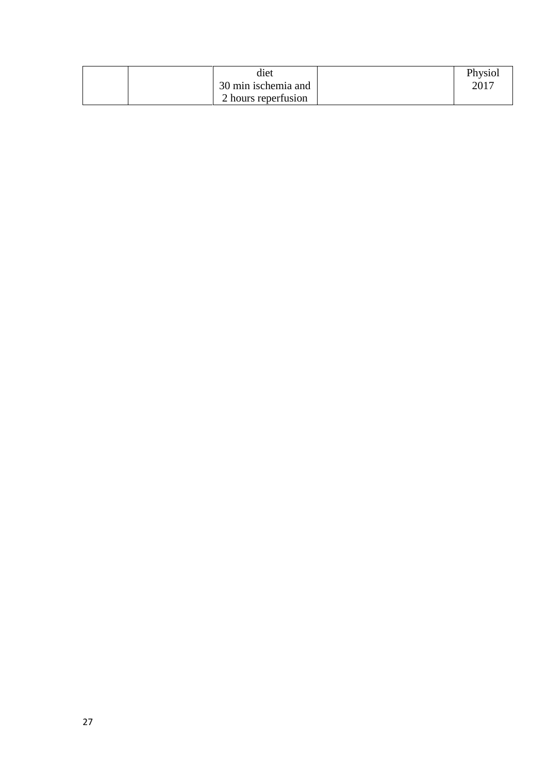| diet                | Physiol |
|---------------------|---------|
| 30 min ischemia and | 2017    |
| 2 hours reperfusion |         |